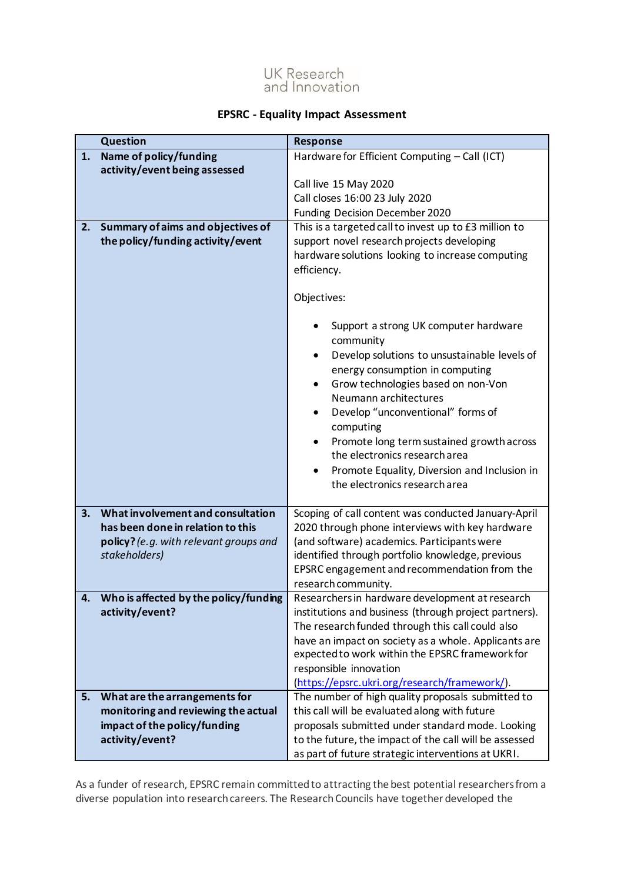## UK Research<br>and Innovation

## **EPSRC - Equality Impact Assessment**

| Name of policy/funding<br>Hardware for Efficient Computing - Call (ICT)<br>1.<br>activity/event being assessed<br>Call live 15 May 2020<br>Call closes 16:00 23 July 2020<br>Funding Decision December 2020<br>Summary of aims and objectives of<br>This is a targeted call to invest up to £3 million to<br>2.<br>the policy/funding activity/event<br>support novel research projects developing<br>hardware solutions looking to increase computing<br>efficiency.<br>Objectives:<br>Support a strong UK computer hardware<br>community<br>Develop solutions to unsustainable levels of<br>$\bullet$<br>energy consumption in computing<br>Grow technologies based on non-Von<br>$\bullet$<br>Neumann architectures<br>Develop "unconventional" forms of<br>$\bullet$<br>computing<br>Promote long term sustained growth across<br>$\bullet$<br>the electronics research area<br>Promote Equality, Diversion and Inclusion in<br>٠<br>the electronics research area<br>What involvement and consultation<br>3.<br>Scoping of call content was conducted January-April<br>has been done in relation to this<br>2020 through phone interviews with key hardware<br>policy? (e.g. with relevant groups and<br>(and software) academics. Participants were<br>identified through portfolio knowledge, previous<br>stakeholders)<br>EPSRC engagement and recommendation from the<br>research community.<br>Who is affected by the policy/funding<br>Researchers in hardware development at research<br>4.<br>activity/event?<br>institutions and business (through project partners).<br>The research funded through this call could also<br>have an impact on society as a whole. Applicants are<br>expected to work within the EPSRC framework for | <b>Question</b> | <b>Response</b>                                  |  |  |
|----------------------------------------------------------------------------------------------------------------------------------------------------------------------------------------------------------------------------------------------------------------------------------------------------------------------------------------------------------------------------------------------------------------------------------------------------------------------------------------------------------------------------------------------------------------------------------------------------------------------------------------------------------------------------------------------------------------------------------------------------------------------------------------------------------------------------------------------------------------------------------------------------------------------------------------------------------------------------------------------------------------------------------------------------------------------------------------------------------------------------------------------------------------------------------------------------------------------------------------------------------------------------------------------------------------------------------------------------------------------------------------------------------------------------------------------------------------------------------------------------------------------------------------------------------------------------------------------------------------------------------------------------------------------------------------------------------------------------------------------------|-----------------|--------------------------------------------------|--|--|
|                                                                                                                                                                                                                                                                                                                                                                                                                                                                                                                                                                                                                                                                                                                                                                                                                                                                                                                                                                                                                                                                                                                                                                                                                                                                                                                                                                                                                                                                                                                                                                                                                                                                                                                                                    |                 |                                                  |  |  |
|                                                                                                                                                                                                                                                                                                                                                                                                                                                                                                                                                                                                                                                                                                                                                                                                                                                                                                                                                                                                                                                                                                                                                                                                                                                                                                                                                                                                                                                                                                                                                                                                                                                                                                                                                    |                 |                                                  |  |  |
|                                                                                                                                                                                                                                                                                                                                                                                                                                                                                                                                                                                                                                                                                                                                                                                                                                                                                                                                                                                                                                                                                                                                                                                                                                                                                                                                                                                                                                                                                                                                                                                                                                                                                                                                                    |                 |                                                  |  |  |
|                                                                                                                                                                                                                                                                                                                                                                                                                                                                                                                                                                                                                                                                                                                                                                                                                                                                                                                                                                                                                                                                                                                                                                                                                                                                                                                                                                                                                                                                                                                                                                                                                                                                                                                                                    |                 |                                                  |  |  |
|                                                                                                                                                                                                                                                                                                                                                                                                                                                                                                                                                                                                                                                                                                                                                                                                                                                                                                                                                                                                                                                                                                                                                                                                                                                                                                                                                                                                                                                                                                                                                                                                                                                                                                                                                    |                 |                                                  |  |  |
|                                                                                                                                                                                                                                                                                                                                                                                                                                                                                                                                                                                                                                                                                                                                                                                                                                                                                                                                                                                                                                                                                                                                                                                                                                                                                                                                                                                                                                                                                                                                                                                                                                                                                                                                                    |                 |                                                  |  |  |
|                                                                                                                                                                                                                                                                                                                                                                                                                                                                                                                                                                                                                                                                                                                                                                                                                                                                                                                                                                                                                                                                                                                                                                                                                                                                                                                                                                                                                                                                                                                                                                                                                                                                                                                                                    |                 |                                                  |  |  |
|                                                                                                                                                                                                                                                                                                                                                                                                                                                                                                                                                                                                                                                                                                                                                                                                                                                                                                                                                                                                                                                                                                                                                                                                                                                                                                                                                                                                                                                                                                                                                                                                                                                                                                                                                    |                 |                                                  |  |  |
|                                                                                                                                                                                                                                                                                                                                                                                                                                                                                                                                                                                                                                                                                                                                                                                                                                                                                                                                                                                                                                                                                                                                                                                                                                                                                                                                                                                                                                                                                                                                                                                                                                                                                                                                                    |                 |                                                  |  |  |
|                                                                                                                                                                                                                                                                                                                                                                                                                                                                                                                                                                                                                                                                                                                                                                                                                                                                                                                                                                                                                                                                                                                                                                                                                                                                                                                                                                                                                                                                                                                                                                                                                                                                                                                                                    |                 |                                                  |  |  |
|                                                                                                                                                                                                                                                                                                                                                                                                                                                                                                                                                                                                                                                                                                                                                                                                                                                                                                                                                                                                                                                                                                                                                                                                                                                                                                                                                                                                                                                                                                                                                                                                                                                                                                                                                    |                 |                                                  |  |  |
|                                                                                                                                                                                                                                                                                                                                                                                                                                                                                                                                                                                                                                                                                                                                                                                                                                                                                                                                                                                                                                                                                                                                                                                                                                                                                                                                                                                                                                                                                                                                                                                                                                                                                                                                                    |                 |                                                  |  |  |
|                                                                                                                                                                                                                                                                                                                                                                                                                                                                                                                                                                                                                                                                                                                                                                                                                                                                                                                                                                                                                                                                                                                                                                                                                                                                                                                                                                                                                                                                                                                                                                                                                                                                                                                                                    |                 |                                                  |  |  |
|                                                                                                                                                                                                                                                                                                                                                                                                                                                                                                                                                                                                                                                                                                                                                                                                                                                                                                                                                                                                                                                                                                                                                                                                                                                                                                                                                                                                                                                                                                                                                                                                                                                                                                                                                    |                 | responsible innovation                           |  |  |
| (https://epsrc.ukri.org/research/framework/).                                                                                                                                                                                                                                                                                                                                                                                                                                                                                                                                                                                                                                                                                                                                                                                                                                                                                                                                                                                                                                                                                                                                                                                                                                                                                                                                                                                                                                                                                                                                                                                                                                                                                                      |                 |                                                  |  |  |
| The number of high quality proposals submitted to<br>What are the arrangements for<br>5.                                                                                                                                                                                                                                                                                                                                                                                                                                                                                                                                                                                                                                                                                                                                                                                                                                                                                                                                                                                                                                                                                                                                                                                                                                                                                                                                                                                                                                                                                                                                                                                                                                                           |                 |                                                  |  |  |
| monitoring and reviewing the actual<br>this call will be evaluated along with future                                                                                                                                                                                                                                                                                                                                                                                                                                                                                                                                                                                                                                                                                                                                                                                                                                                                                                                                                                                                                                                                                                                                                                                                                                                                                                                                                                                                                                                                                                                                                                                                                                                               |                 |                                                  |  |  |
| impact of the policy/funding                                                                                                                                                                                                                                                                                                                                                                                                                                                                                                                                                                                                                                                                                                                                                                                                                                                                                                                                                                                                                                                                                                                                                                                                                                                                                                                                                                                                                                                                                                                                                                                                                                                                                                                       |                 | proposals submitted under standard mode. Looking |  |  |
| activity/event?<br>to the future, the impact of the call will be assessed<br>as part of future strategic interventions at UKRI.                                                                                                                                                                                                                                                                                                                                                                                                                                                                                                                                                                                                                                                                                                                                                                                                                                                                                                                                                                                                                                                                                                                                                                                                                                                                                                                                                                                                                                                                                                                                                                                                                    |                 |                                                  |  |  |

As a funder of research, EPSRC remain committed to attracting the best potential researchers from a diverse population into research careers. The Research Councils have together developed the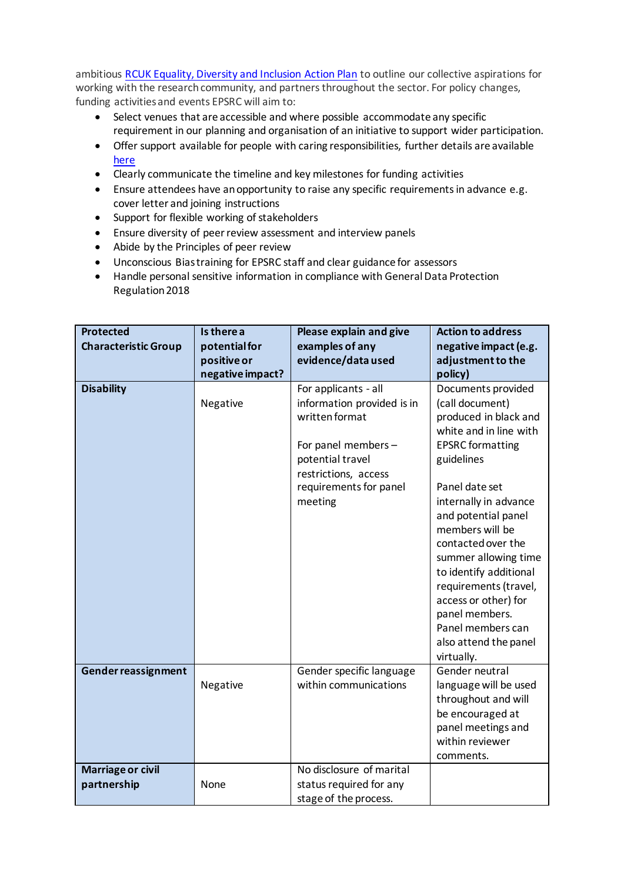ambitious [RCUK Equality, Diversity and Inclusion Action Plan](https://epsrc.ukri.org/links/councils/uk-research-and-innovation-ukri/diversity-ukri/) to outline our collective aspirations for working with the research community, and partners throughout the sector. For policy changes, funding activities and events EPSRC will aim to:

- Select venues that are accessible and where possible accommodate any specific requirement in our planning and organisation of an initiative to support wider participation.
- Offer support available for people with caring responsibilities, further details are available [here](https://epsrc.ukri.org/funding/applicationprocess/basics/caringresponsibilities/)
- Clearly communicate the timeline and key milestones for funding activities
- Ensure attendees have an opportunity to raise any specific requirements in advance e.g. cover letter and joining instructions
- Support for flexible working of stakeholders
- Ensure diversity of peer review assessment and interview panels
- Abide by the Principles of peer review
- Unconscious Bias training for EPSRC staff and clear guidance for assessors
- Handle personal sensitive information in compliance with General Data Protection Regulation 2018

| <b>Protected</b>            | Is there a       | Please explain and give    | <b>Action to address</b>               |  |
|-----------------------------|------------------|----------------------------|----------------------------------------|--|
| <b>Characteristic Group</b> | potential for    | examples of any            | negative impact (e.g.                  |  |
|                             | positive or      | evidence/data used         | adjustment to the                      |  |
|                             | negative impact? |                            | policy)                                |  |
| <b>Disability</b>           |                  | For applicants - all       | Documents provided                     |  |
|                             | Negative         | information provided is in | (call document)                        |  |
|                             |                  | written format             | produced in black and                  |  |
|                             |                  |                            | white and in line with                 |  |
|                             |                  | For panel members -        | <b>EPSRC</b> formatting                |  |
|                             |                  | potential travel           | guidelines                             |  |
|                             |                  | restrictions, access       |                                        |  |
|                             |                  | requirements for panel     | Panel date set                         |  |
|                             |                  | meeting                    | internally in advance                  |  |
|                             |                  |                            | and potential panel                    |  |
|                             |                  |                            | members will be                        |  |
|                             |                  |                            | contacted over the                     |  |
|                             |                  |                            | summer allowing time                   |  |
|                             |                  |                            | to identify additional                 |  |
|                             |                  |                            | requirements (travel,                  |  |
|                             |                  |                            | access or other) for<br>panel members. |  |
|                             |                  |                            | Panel members can                      |  |
|                             |                  |                            | also attend the panel                  |  |
|                             |                  |                            | virtually.                             |  |
| Gender reassignment         |                  | Gender specific language   | Gender neutral                         |  |
|                             | Negative         | within communications      | language will be used                  |  |
|                             |                  |                            | throughout and will                    |  |
|                             |                  |                            | be encouraged at                       |  |
|                             |                  |                            | panel meetings and                     |  |
|                             |                  |                            | within reviewer                        |  |
|                             |                  |                            | comments.                              |  |
| Marriage or civil           |                  | No disclosure of marital   |                                        |  |
| partnership                 | None             | status required for any    |                                        |  |
|                             |                  | stage of the process.      |                                        |  |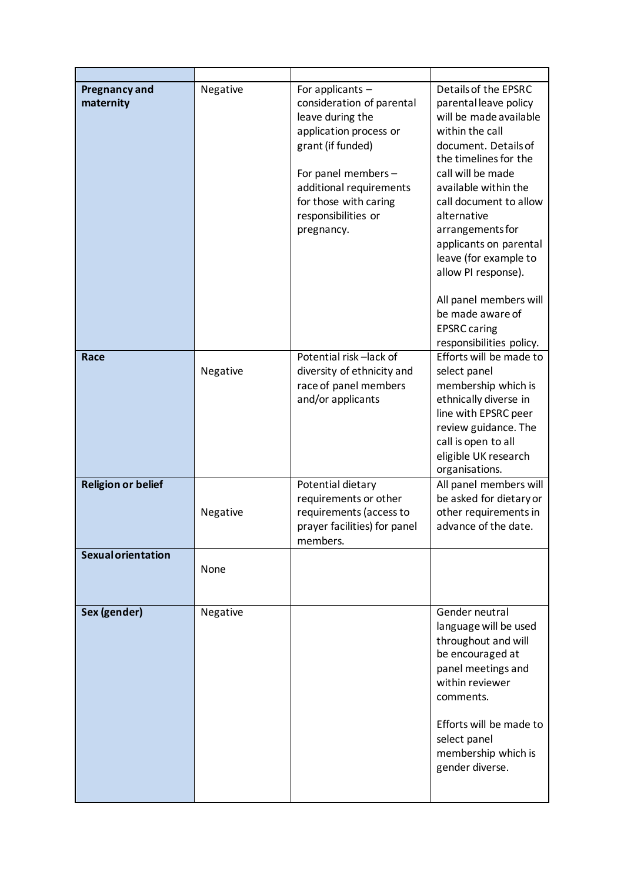| <b>Pregnancy and</b><br>maternity | Negative | For applicants -<br>consideration of parental<br>leave during the<br>application process or<br>grant (if funded)<br>For panel members -<br>additional requirements<br>for those with caring<br>responsibilities or<br>pregnancy. | Details of the EPSRC<br>parental leave policy<br>will be made available<br>within the call<br>document. Details of<br>the timelines for the<br>call will be made<br>available within the<br>call document to allow<br>alternative<br>arrangements for<br>applicants on parental<br>leave (for example to<br>allow PI response).<br>All panel members will<br>be made aware of<br><b>EPSRC</b> caring<br>responsibilities policy. |
|-----------------------------------|----------|----------------------------------------------------------------------------------------------------------------------------------------------------------------------------------------------------------------------------------|----------------------------------------------------------------------------------------------------------------------------------------------------------------------------------------------------------------------------------------------------------------------------------------------------------------------------------------------------------------------------------------------------------------------------------|
| Race                              | Negative | Potential risk-lack of<br>diversity of ethnicity and<br>race of panel members<br>and/or applicants                                                                                                                               | Efforts will be made to<br>select panel<br>membership which is<br>ethnically diverse in<br>line with EPSRC peer<br>review guidance. The<br>call is open to all<br>eligible UK research<br>organisations.                                                                                                                                                                                                                         |
| <b>Religion or belief</b>         | Negative | Potential dietary<br>requirements or other<br>requirements (access to<br>prayer facilities) for panel<br>members.                                                                                                                | All panel members will<br>be asked for dietary or<br>other requirements in<br>advance of the date.                                                                                                                                                                                                                                                                                                                               |
| <b>Sexual orientation</b>         | None     |                                                                                                                                                                                                                                  |                                                                                                                                                                                                                                                                                                                                                                                                                                  |
| Sex (gender)                      | Negative |                                                                                                                                                                                                                                  | Gender neutral<br>language will be used<br>throughout and will<br>be encouraged at<br>panel meetings and<br>within reviewer<br>comments.<br>Efforts will be made to<br>select panel<br>membership which is<br>gender diverse.                                                                                                                                                                                                    |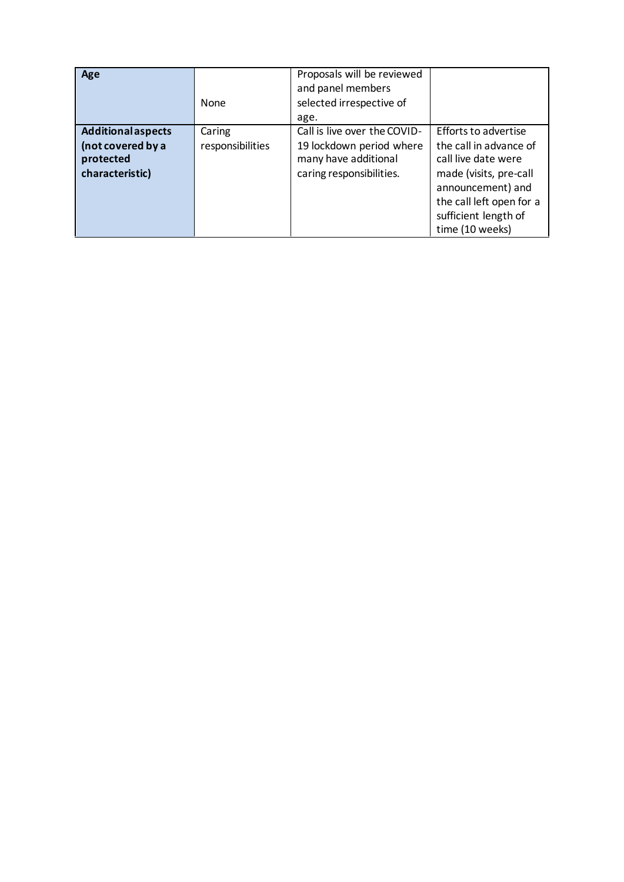| Age                                                                            | None                       | Proposals will be reviewed<br>and panel members<br>selected irrespective of<br>age.                          |                                                                                                                                                                                             |
|--------------------------------------------------------------------------------|----------------------------|--------------------------------------------------------------------------------------------------------------|---------------------------------------------------------------------------------------------------------------------------------------------------------------------------------------------|
| <b>Additional aspects</b><br>(not covered by a<br>protected<br>characteristic) | Caring<br>responsibilities | Call is live over the COVID-<br>19 lockdown period where<br>many have additional<br>caring responsibilities. | Efforts to advertise<br>the call in advance of<br>call live date were<br>made (visits, pre-call<br>announcement) and<br>the call left open for a<br>sufficient length of<br>time (10 weeks) |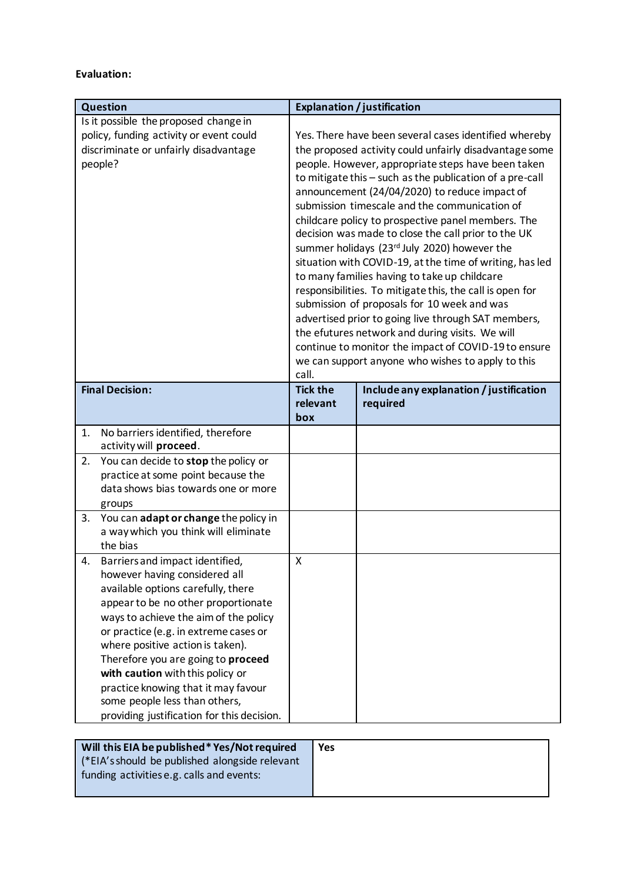## **Evaluation:**

| Question                                                               | <b>Explanation / justification</b>                    |                                                                                                           |  |  |
|------------------------------------------------------------------------|-------------------------------------------------------|-----------------------------------------------------------------------------------------------------------|--|--|
| Is it possible the proposed change in                                  |                                                       |                                                                                                           |  |  |
| policy, funding activity or event could                                | Yes. There have been several cases identified whereby |                                                                                                           |  |  |
| discriminate or unfairly disadvantage                                  |                                                       | the proposed activity could unfairly disadvantage some                                                    |  |  |
| people?                                                                |                                                       | people. However, appropriate steps have been taken                                                        |  |  |
|                                                                        |                                                       | to mitigate this - such as the publication of a pre-call                                                  |  |  |
|                                                                        |                                                       | announcement (24/04/2020) to reduce impact of                                                             |  |  |
|                                                                        |                                                       | submission timescale and the communication of                                                             |  |  |
|                                                                        |                                                       | childcare policy to prospective panel members. The                                                        |  |  |
|                                                                        |                                                       | decision was made to close the call prior to the UK                                                       |  |  |
|                                                                        |                                                       | summer holidays (23rd July 2020) however the                                                              |  |  |
|                                                                        |                                                       | situation with COVID-19, at the time of writing, has led                                                  |  |  |
|                                                                        |                                                       | to many families having to take up childcare                                                              |  |  |
|                                                                        |                                                       | responsibilities. To mitigate this, the call is open for<br>submission of proposals for 10 week and was   |  |  |
|                                                                        |                                                       | advertised prior to going live through SAT members,                                                       |  |  |
|                                                                        |                                                       | the efutures network and during visits. We will                                                           |  |  |
|                                                                        |                                                       |                                                                                                           |  |  |
|                                                                        |                                                       | continue to monitor the impact of COVID-19 to ensure<br>we can support anyone who wishes to apply to this |  |  |
|                                                                        | call.                                                 |                                                                                                           |  |  |
| <b>Final Decision:</b>                                                 | <b>Tick the</b>                                       | Include any explanation / justification                                                                   |  |  |
|                                                                        | relevant                                              | required                                                                                                  |  |  |
|                                                                        | box                                                   |                                                                                                           |  |  |
| No barriers identified, therefore<br>1.                                |                                                       |                                                                                                           |  |  |
| activity will proceed.                                                 |                                                       |                                                                                                           |  |  |
| You can decide to stop the policy or<br>2.                             |                                                       |                                                                                                           |  |  |
| practice at some point because the                                     |                                                       |                                                                                                           |  |  |
| data shows bias towards one or more                                    |                                                       |                                                                                                           |  |  |
| groups                                                                 |                                                       |                                                                                                           |  |  |
| You can adapt or change the policy in<br>3.                            |                                                       |                                                                                                           |  |  |
| a way which you think will eliminate<br>the bias                       |                                                       |                                                                                                           |  |  |
|                                                                        | X                                                     |                                                                                                           |  |  |
| Barriers and impact identified,<br>4.<br>however having considered all |                                                       |                                                                                                           |  |  |
| available options carefully, there                                     |                                                       |                                                                                                           |  |  |
| appear to be no other proportionate                                    |                                                       |                                                                                                           |  |  |
| ways to achieve the aim of the policy                                  |                                                       |                                                                                                           |  |  |
| or practice (e.g. in extreme cases or                                  |                                                       |                                                                                                           |  |  |
| where positive action is taken).                                       |                                                       |                                                                                                           |  |  |
| Therefore you are going to proceed                                     |                                                       |                                                                                                           |  |  |
| with caution with this policy or                                       |                                                       |                                                                                                           |  |  |
| practice knowing that it may favour                                    |                                                       |                                                                                                           |  |  |
| some people less than others,                                          |                                                       |                                                                                                           |  |  |
| providing justification for this decision.                             |                                                       |                                                                                                           |  |  |

| Will this EIA be published* Yes/Not required   | <b>Yes</b> |
|------------------------------------------------|------------|
| (*EIA's should be published alongside relevant |            |
| funding activities e.g. calls and events:      |            |
|                                                |            |